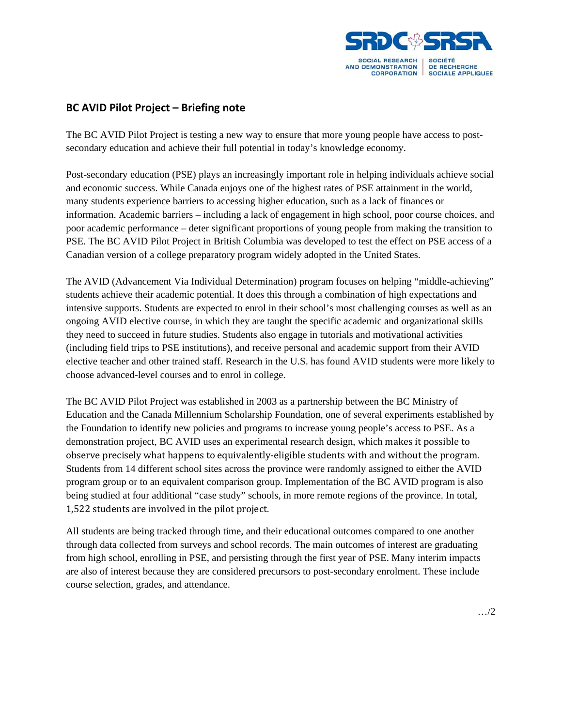

## **BC AVID Pilot Project – Briefing note**

The BC AVID Pilot Project is testing a new way to ensure that more young people have access to postsecondary education and achieve their full potential in today's knowledge economy.

Post-secondary education (PSE) plays an increasingly important role in helping individuals achieve social and economic success. While Canada enjoys one of the highest rates of PSE attainment in the world, many students experience barriers to accessing higher education, such as a lack of finances or information. Academic barriers – including a lack of engagement in high school, poor course choices, and poor academic performance – deter significant proportions of young people from making the transition to PSE. The BC AVID Pilot Project in British Columbia was developed to test the effect on PSE access of a Canadian version of a college preparatory program widely adopted in the United States.

The AVID (Advancement Via Individual Determination) program focuses on helping "middle-achieving" students achieve their academic potential. It does this through a combination of high expectations and intensive supports. Students are expected to enrol in their school's most challenging courses as well as an ongoing AVID elective course, in which they are taught the specific academic and organizational skills they need to succeed in future studies. Students also engage in tutorials and motivational activities (including field trips to PSE institutions), and receive personal and academic support from their AVID elective teacher and other trained staff. Research in the U.S. has found AVID students were more likely to choose advanced-level courses and to enrol in college.

The BC AVID Pilot Project was established in 2003 as a partnership between the BC Ministry of Education and the Canada Millennium Scholarship Foundation, one of several experiments established by the Foundation to identify new policies and programs to increase young people's access to PSE. As a demonstration project, BC AVID uses an experimental research design, which makes it possible to observe precisely what happens to equivalently-eligible students with and without the program. Students from 14 different school sites across the province were randomly assigned to either the AVID program group or to an equivalent comparison group. Implementation of the BC AVID program is also being studied at four additional "case study" schools, in more remote regions of the province. In total, 1,522 students are involved in the pilot project.

All students are being tracked through time, and their educational outcomes compared to one another through data collected from surveys and school records. The main outcomes of interest are graduating from high school, enrolling in PSE, and persisting through the first year of PSE. Many interim impacts are also of interest because they are considered precursors to post-secondary enrolment. These include course selection, grades, and attendance.